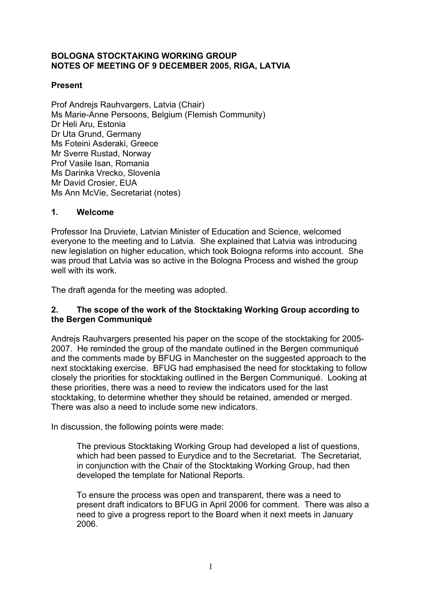## **BOLOGNA STOCKTAKING WORKING GROUP NOTES OF MEETING OF 9 DECEMBER 2005, RIGA, LATVIA**

## **Present**

Prof Andrejs Rauhvargers, Latvia (Chair) Ms Marie-Anne Persoons, Belgium (Flemish Community) Dr Heli Aru, Estonia Dr Uta Grund, Germany Ms Foteini Asderaki, Greece Mr Sverre Rustad, Norway Prof Vasile Isan, Romania Ms Darinka Vrecko, Slovenia Mr David Crosier, EUA Ms Ann McVie, Secretariat (notes)

## **1. Welcome**

Professor Ina Druviete, Latvian Minister of Education and Science, welcomed everyone to the meeting and to Latvia. She explained that Latvia was introducing new legislation on higher education, which took Bologna reforms into account. She was proud that Latvia was so active in the Bologna Process and wished the group well with its work.

The draft agenda for the meeting was adopted.

## **2. The scope of the work of the Stocktaking Working Group according to the Bergen Communiqué**

Andrejs Rauhvargers presented his paper on the scope of the stocktaking for 2005- 2007. He reminded the group of the mandate outlined in the Bergen communiqué and the comments made by BFUG in Manchester on the suggested approach to the next stocktaking exercise. BFUG had emphasised the need for stocktaking to follow closely the priorities for stocktaking outlined in the Bergen Communiqué. Looking at these priorities, there was a need to review the indicators used for the last stocktaking, to determine whether they should be retained, amended or merged. There was also a need to include some new indicators.

In discussion, the following points were made:

The previous Stocktaking Working Group had developed a list of questions, which had been passed to Eurydice and to the Secretariat. The Secretariat, in conjunction with the Chair of the Stocktaking Working Group, had then developed the template for National Reports.

To ensure the process was open and transparent, there was a need to present draft indicators to BFUG in April 2006 for comment. There was also a need to give a progress report to the Board when it next meets in January 2006.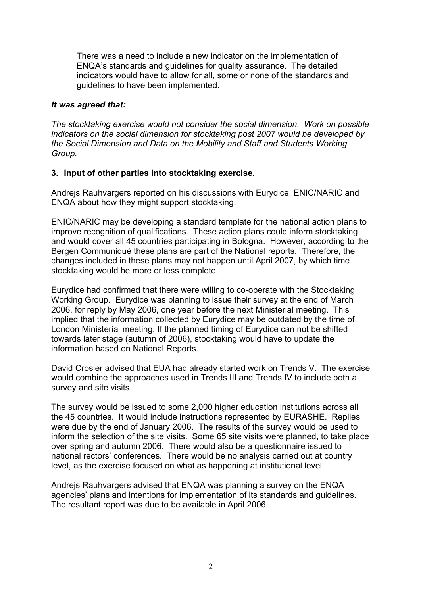There was a need to include a new indicator on the implementation of ENQA's standards and guidelines for quality assurance. The detailed indicators would have to allow for all, some or none of the standards and guidelines to have been implemented.

#### *It was agreed that:*

*The stocktaking exercise would not consider the social dimension. Work on possible indicators on the social dimension for stocktaking post 2007 would be developed by the Social Dimension and Data on the Mobility and Staff and Students Working Group.* 

## **3. Input of other parties into stocktaking exercise.**

Andrejs Rauhvargers reported on his discussions with Eurydice, ENIC/NARIC and ENQA about how they might support stocktaking.

ENIC/NARIC may be developing a standard template for the national action plans to improve recognition of qualifications. These action plans could inform stocktaking and would cover all 45 countries participating in Bologna. However, according to the Bergen Communiqué these plans are part of the National reports. Therefore, the changes included in these plans may not happen until April 2007, by which time stocktaking would be more or less complete.

Eurydice had confirmed that there were willing to co-operate with the Stocktaking Working Group. Eurydice was planning to issue their survey at the end of March 2006, for reply by May 2006, one year before the next Ministerial meeting. This implied that the information collected by Eurydice may be outdated by the time of London Ministerial meeting. If the planned timing of Eurydice can not be shifted towards later stage (autumn of 2006), stocktaking would have to update the information based on National Reports.

David Crosier advised that EUA had already started work on Trends V. The exercise would combine the approaches used in Trends III and Trends IV to include both a survey and site visits.

The survey would be issued to some 2,000 higher education institutions across all the 45 countries. It would include instructions represented by EURASHE. Replies were due by the end of January 2006. The results of the survey would be used to inform the selection of the site visits. Some 65 site visits were planned, to take place over spring and autumn 2006. There would also be a questionnaire issued to national rectors' conferences. There would be no analysis carried out at country level, as the exercise focused on what as happening at institutional level.

Andrejs Rauhvargers advised that ENQA was planning a survey on the ENQA agencies' plans and intentions for implementation of its standards and guidelines. The resultant report was due to be available in April 2006.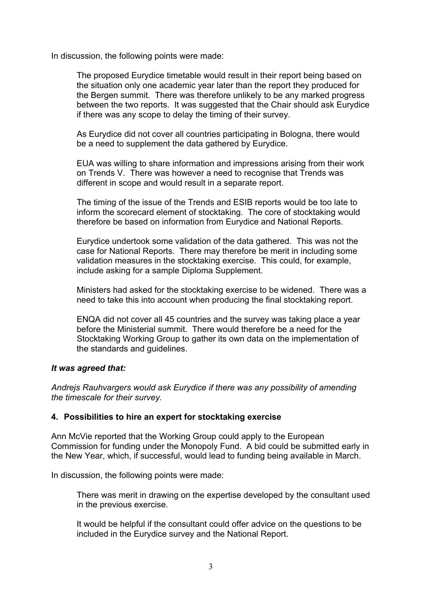In discussion, the following points were made:

The proposed Eurydice timetable would result in their report being based on the situation only one academic year later than the report they produced for the Bergen summit. There was therefore unlikely to be any marked progress between the two reports. It was suggested that the Chair should ask Eurydice if there was any scope to delay the timing of their survey.

As Eurydice did not cover all countries participating in Bologna, there would be a need to supplement the data gathered by Eurydice.

EUA was willing to share information and impressions arising from their work on Trends V. There was however a need to recognise that Trends was different in scope and would result in a separate report.

The timing of the issue of the Trends and ESIB reports would be too late to inform the scorecard element of stocktaking. The core of stocktaking would therefore be based on information from Eurydice and National Reports.

Eurydice undertook some validation of the data gathered. This was not the case for National Reports. There may therefore be merit in including some validation measures in the stocktaking exercise. This could, for example, include asking for a sample Diploma Supplement.

Ministers had asked for the stocktaking exercise to be widened. There was a need to take this into account when producing the final stocktaking report.

ENQA did not cover all 45 countries and the survey was taking place a year before the Ministerial summit. There would therefore be a need for the Stocktaking Working Group to gather its own data on the implementation of the standards and guidelines.

## *It was agreed that:*

*Andrejs Rauhvargers would ask Eurydice if there was any possibility of amending the timescale for their survey.*

## **4. Possibilities to hire an expert for stocktaking exercise**

Ann McVie reported that the Working Group could apply to the European Commission for funding under the Monopoly Fund. A bid could be submitted early in the New Year, which, if successful, would lead to funding being available in March.

In discussion, the following points were made:

There was merit in drawing on the expertise developed by the consultant used in the previous exercise.

It would be helpful if the consultant could offer advice on the questions to be included in the Eurydice survey and the National Report.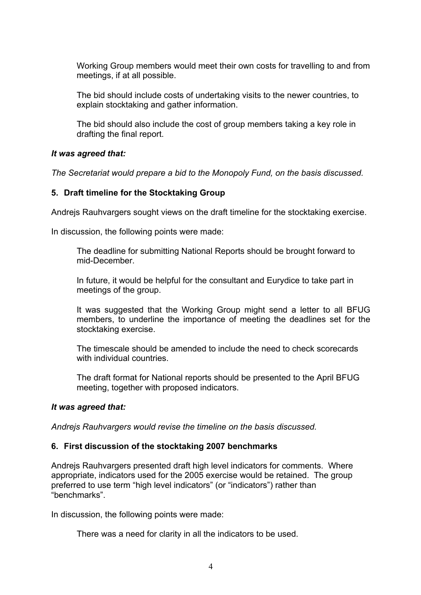Working Group members would meet their own costs for travelling to and from meetings, if at all possible.

The bid should include costs of undertaking visits to the newer countries, to explain stocktaking and gather information.

The bid should also include the cost of group members taking a key role in drafting the final report.

## *It was agreed that:*

*The Secretariat would prepare a bid to the Monopoly Fund, on the basis discussed.* 

# **5. Draft timeline for the Stocktaking Group**

Andrejs Rauhvargers sought views on the draft timeline for the stocktaking exercise.

In discussion, the following points were made:

The deadline for submitting National Reports should be brought forward to mid-December.

In future, it would be helpful for the consultant and Eurydice to take part in meetings of the group.

It was suggested that the Working Group might send a letter to all BFUG members, to underline the importance of meeting the deadlines set for the stocktaking exercise.

The timescale should be amended to include the need to check scorecards with individual countries.

The draft format for National reports should be presented to the April BFUG meeting, together with proposed indicators.

## *It was agreed that:*

*Andrejs Rauhvargers would revise the timeline on the basis discussed.* 

## **6. First discussion of the stocktaking 2007 benchmarks**

Andrejs Rauhvargers presented draft high level indicators for comments. Where appropriate, indicators used for the 2005 exercise would be retained. The group preferred to use term "high level indicators" (or "indicators") rather than "benchmarks".

In discussion, the following points were made:

There was a need for clarity in all the indicators to be used.